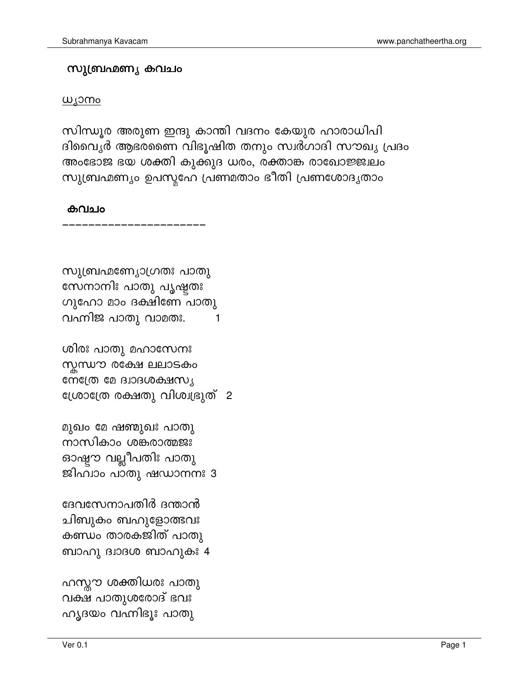ദേവസേനാപതിർ ദന്താൻ ചിബുകം ബഹുളോത്ഭവഃ കണ്ഡം താരകജിത് പാതു ബാഹു ദ്വാദശ ബാഹുകഃ 4

മുഖം മേ ഷണ്മുഖഃ പാതു നാസികാം ശങ്കരാത്മജഃ ഓഷ്ടാ വല്ലീപതിഃ പാതു ജിഹ്വാം പാതു ഷഡാനനഃ 3

ശിരഃ പാതു മഹാസേനഃ സ്നസൗ രക്ഷേ ലലാടകം നേത്രേ മേ ദ്വാദശക്ഷസ്യ ശ്രോത്രേ രക്ഷതു വിശ്വഭ്രുത് 2

സുബ്രഹ്മണ്യോഗ്രതഃ പാതു സേനാനിഃ പാതു പൃഷ്ടതഃ ഗുഹോ മാം ദക്ഷിണേ പാതു വഹ്നിജ പാതു വാമതഃ. 1

## കവചം

സിന്ധൂര അരുണ ഇന്ദു കാന്തി വദനം കേയുര ഹാരാധിപി ദിവൈൃർ ആഭരണൈ വിഭൂഷിത തനും സ്വർഗാദി സൗഖൃ പ്രദം അംഭോജ ഭയ ശക്തി കുക്കുദ ധരം, രക്താങ്ക രാഖോജ്ജ്വലം സുബ്രഹ്മണ്യം ഉപസ്തഹേ പ്രണമതാം ഭീതി പ്രണശോദൃതാം

## <u>ധ്യാനം</u>

## സുബ്രഹ്മണ്യ കവചം

Page 1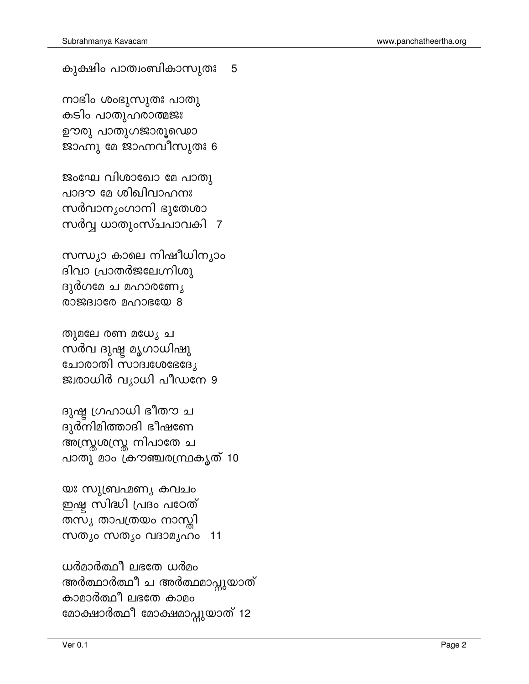ധർമാർത്ഥീ ലഭതേ ധർമം അർത്ഥാർത്ഥീ ച അർത്ഥമാപ്പുയാത് കാമാർത്ഥീ ലഭതേ കാമം മോക്ഷാർത്ഥീ മോക്ഷമാപ്പുയാത് 12

യഃ സുബ്രഹ്മണൃ കവചം ഇഷ്ട സിദ്ധി പ്രദം പഠേത് തസൃ താപത്രയം നാന്യി സത്യം സത്യം വദാമൃഹം  $11$ 

ദുഷ്ട ഗ്രഹാധി ഭീതൗ ച ദുർനിമിത്താദി ഭീഷണേ അസ്ത്രശസ്ത്ര നിപാതേ ച പാതു മാം ക്രൗഞ്ചരന്ഥ്രകൃത് 10

തുമലേ രണ മധേ, ച സർവ ദുഷ്ട മൃഗാധിഷു ുങ്ങയൊലാഗ്ന നാരാലേ ജ്വരാധിർ വ്യാധി പീഡനേ 9

സന്ധ്യാ കാലെ നിഷീധിന്യാം ദിവാ പ്രാതർജലേഗ്നിശു ദുർഗമേ ച മഹാരണ്യേ  $8$  @ $380$   $0.008$   $0.008$   $0.8$ 

ജംഘേ വിശാഖോ മേ പാതു പാദൗ മേ ശിഖിവാഹനഃ സർവാനൃംഗാനി ഭൂതേശാ സർവ്വ ധാതുംസ്ചപാവകി 7

നാഭിം ശംഭുസുതഃ പാതു കടിം പാതുഹരാത്മജഃ ഊരു പാതുഗജാരൂഡൊ ജാഹ്നു മേ ജാഹ്നവീസുതഃ 6

കുക്ഷിം പാത്വംബികാസുതഃ 5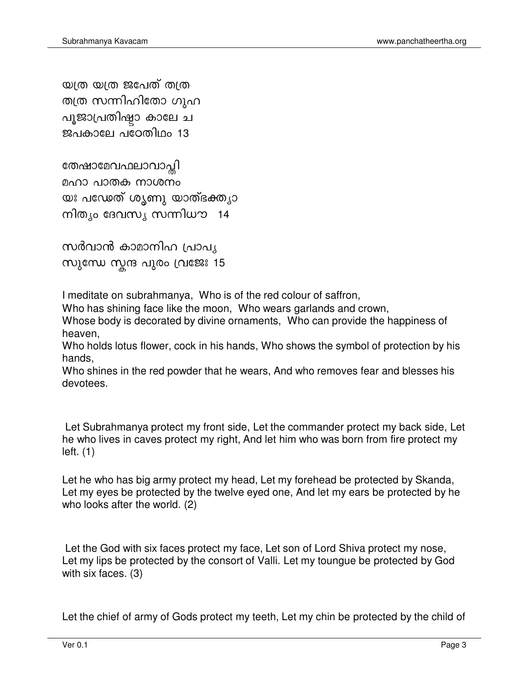യത്ര യത്ര ജപേത് തത്ര തത്ര സന്നിഹിതോ ഗുഹ പൂജാപ്രതിഷ്ടാ കാലേ ച ജപകാലേ പഠേതിഥം 13

തേഷാമേവഫലാവാപ്തി മഹാ പാതക നാശനം യഃ പഡേത് ശൃണു യാത്ഭക്തൃാ നിത്യം ദേവസ്യ സന്നിധൗ 14

സർവാൻ കാമാനിഹ പ്രാപൃ സുന്ധേ സ്കന്ദ പുരം വ്രജേഃ 15

I meditate on subrahmanya, Who is of the red colour of saffron,

Who has shining face like the moon, Who wears garlands and crown,

Whose body is decorated by divine ornaments, Who can provide the happiness of heaven.

Who holds lotus flower, cock in his hands, Who shows the symbol of protection by his hands.

Who shines in the red powder that he wears, And who removes fear and blesses his devotees.

Let Subrahmanya protect my front side, Let the commander protect my back side, Let he who lives in caves protect my right, And let him who was born from fire protect my  $left. (1)$ 

Let he who has big army protect my head, Let my forehead be protected by Skanda, Let my eyes be protected by the twelve eyed one, And let my ears be protected by he who looks after the world. (2)

Let the God with six faces protect my face, Let son of Lord Shiva protect my nose, Let my lips be protected by the consort of Valli. Let my toungue be protected by God with six faces.  $(3)$ 

Let the chief of army of Gods protect my teeth, Let my chin be protected by the child of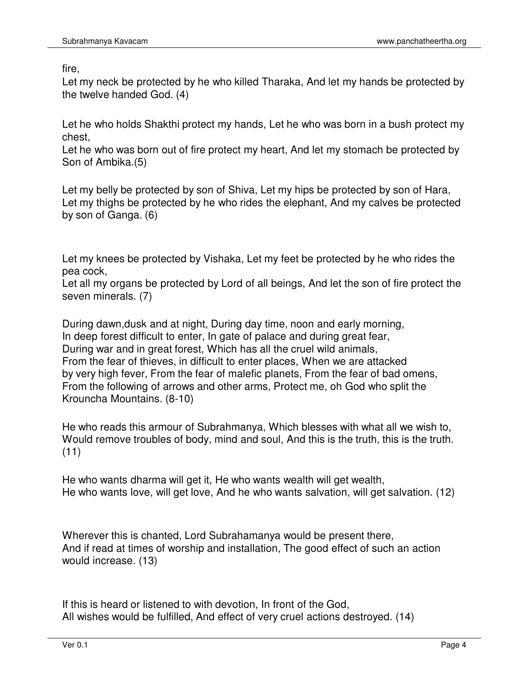fire,

Let my neck be protected by he who killed Tharaka, And let my hands be protected by the twelve handed God. (4)

Let he who holds Shakthi protect my hands, Let he who was born in a bush protect my chest,

Let he who was born out of fire protect my heart, And let my stomach be protected by Son of Ambika.(5)

Let my belly be protected by son of Shiva, Let my hips be protected by son of Hara, Let my thighs be protected by he who rides the elephant, And my calves be protected by son of Ganga. (6)

Let my knees be protected by Vishaka, Let my feet be protected by he who rides the pea cock,

Let all my organs be protected by Lord of all beings, And let the son of fire protect the seven minerals. (7)

During dawn,dusk and at night, During day time, noon and early morning, In deep forest difficult to enter, In gate of palace and during great fear, During war and in great forest, Which has all the cruel wild animals, From the fear of thieves, in difficult to enter places, When we are attacked by very high fever, From the fear of malefic planets, From the fear of bad omens, From the following of arrows and other arms, Protect me, oh God who split the Krouncha Mountains. (8-10)

He who reads this armour of Subrahmanya, Which blesses with what all we wish to, Would remove troubles of body, mind and soul, And this is the truth, this is the truth. (11)

He who wants dharma will get it, He who wants wealth will get wealth, He who wants love, will get love, And he who wants salvation, will get salvation. (12)

Wherever this is chanted, Lord Subrahamanya would be present there, And if read at times of worship and installation, The good effect of such an action would increase. (13)

If this is heard or listened to with devotion, In front of the God, All wishes would be fulfilled, And effect of very cruel actions destroyed. (14)